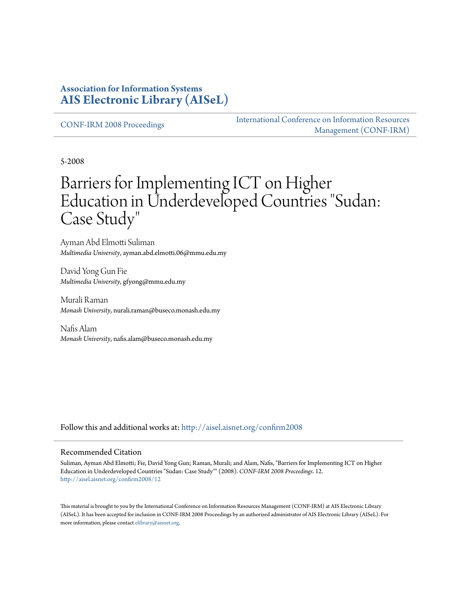### **Association for Information Systems [AIS Electronic Library \(AISeL\)](http://aisel.aisnet.org?utm_source=aisel.aisnet.org%2Fconfirm2008%2F12&utm_medium=PDF&utm_campaign=PDFCoverPages)**

[CONF-IRM 2008 Proceedings](http://aisel.aisnet.org/confirm2008?utm_source=aisel.aisnet.org%2Fconfirm2008%2F12&utm_medium=PDF&utm_campaign=PDFCoverPages)

[International Conference on Information Resources](http://aisel.aisnet.org/conf-irm?utm_source=aisel.aisnet.org%2Fconfirm2008%2F12&utm_medium=PDF&utm_campaign=PDFCoverPages) [Management \(CONF-IRM\)](http://aisel.aisnet.org/conf-irm?utm_source=aisel.aisnet.org%2Fconfirm2008%2F12&utm_medium=PDF&utm_campaign=PDFCoverPages)

5-2008

# Barriers for Implementing ICT on Higher Education in Underdeveloped Countries "Sudan: Case Study "

Ayman Abd Elmotti Suliman *Multimedia University*, ayman.abd.elmotti.06@mmu.edu.my

David Yong Gun Fie *Multimedia University*, gfyong@mmu.edu.my

Murali Raman *Monash University*, nurali.raman@buseco.monash.edu.my

Nafis Alam *Monash University*, nafis.alam@buseco.monash.edu.my

Follow this and additional works at: [http://aisel.aisnet.org/confirm2008](http://aisel.aisnet.org/confirm2008?utm_source=aisel.aisnet.org%2Fconfirm2008%2F12&utm_medium=PDF&utm_campaign=PDFCoverPages)

#### Recommended Citation

Suliman, Ayman Abd Elmotti; Fie, David Yong Gun; Raman, Murali; and Alam, Nafis, "Barriers for Implementing ICT on Higher Education in Underdeveloped Countries "Sudan: Case Study"" (2008). *CONF-IRM 2008 Proceedings*. 12. [http://aisel.aisnet.org/confirm2008/12](http://aisel.aisnet.org/confirm2008/12?utm_source=aisel.aisnet.org%2Fconfirm2008%2F12&utm_medium=PDF&utm_campaign=PDFCoverPages)

This material is brought to you by the International Conference on Information Resources Management (CONF-IRM) at AIS Electronic Library (AISeL). It has been accepted for inclusion in CONF-IRM 2008 Proceedings by an authorized administrator of AIS Electronic Library (AISeL). For more information, please contact [elibrary@aisnet.org.](mailto:elibrary@aisnet.org%3E)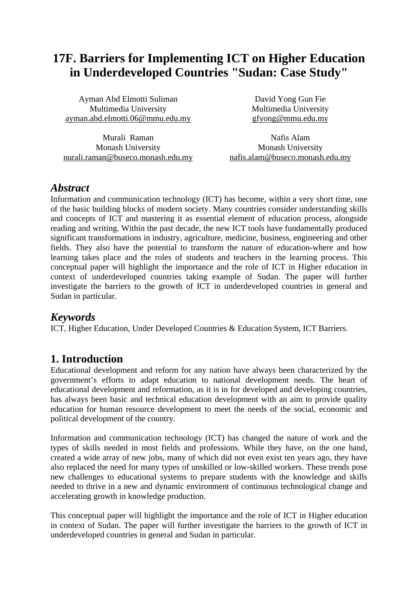# **17F. Barriers for Implementing ICT on Higher Education in Underdeveloped Countries "Sudan: Case Study"**

Ayman Abd Elmotti Suliman Multimedia University ayman.abd.elmotti.06@mmu.edu.my

Murali Raman Monash University nurali.raman@buseco.monash.edu.my

David Yong Gun Fie Multimedia University gfyong@mmu.edu.my

Nafis Alam Monash University nafis.alam@buseco.monash.edu.my

### *Abstract*

Information and communication technology (ICT) has become, within a very short time, one of the basic building blocks of modern society. Many countries consider understanding skills and concepts of ICT and mastering it as essential element of education process, alongside reading and writing. Within the past decade, the new ICT tools have fundamentally produced significant transformations in industry, agriculture, medicine, business, engineering and other fields. They also have the potential to transform the nature of education-where and how learning takes place and the roles of students and teachers in the learning process. This conceptual paper will highlight the importance and the role of ICT in Higher education in context of underdeveloped countries taking example of Sudan. The paper will further investigate the barriers to the growth of ICT in underdeveloped countries in general and Sudan in particular.

### *Keywords*

ICT, Higher Education, Under Developed Countries & Education System, ICT Barriers.

# **1. Introduction**

Educational development and reform for any nation have always been characterized by the government's efforts to adapt education to national development needs. The heart of educational development and reformation, as it is in for developed and developing countries, has always been basic and technical education development with an aim to provide quality education for human resource development to meet the needs of the social, economic and political development of the country.

Information and communication technology (ICT) has changed the nature of work and the types of skills needed in most fields and professions. While they have, on the one hand, created a wide array of new jobs, many of which did not even exist ten years ago, they have also replaced the need for many types of unskilled or low-skilled workers. These trends pose new challenges to educational systems to prepare students with the knowledge and skills needed to thrive in a new and dynamic environment of continuous technological change and accelerating growth in knowledge production.

This conceptual paper will highlight the importance and the role of ICT in Higher education in context of Sudan. The paper will further investigate the barriers to the growth of ICT in underdeveloped countries in general and Sudan in particular.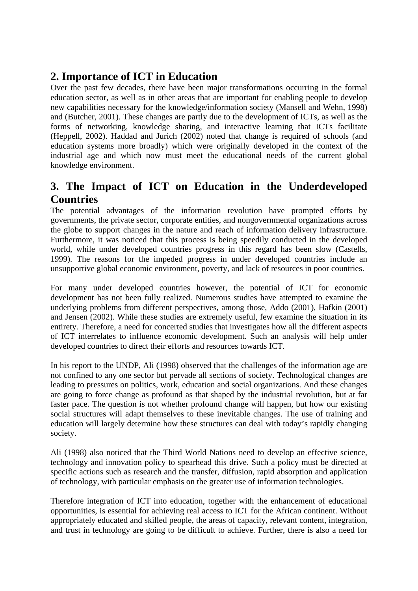# **2. Importance of ICT in Education**

Over the past few decades, there have been major transformations occurring in the formal education sector, as well as in other areas that are important for enabling people to develop new capabilities necessary for the knowledge/information society (Mansell and Wehn, 1998) and (Butcher, 2001). These changes are partly due to the development of ICTs, as well as the forms of networking, knowledge sharing, and interactive learning that ICTs facilitate (Heppell, 2002). Haddad and Jurich (2002) noted that change is required of schools (and education systems more broadly) which were originally developed in the context of the industrial age and which now must meet the educational needs of the current global knowledge environment.

# **3. The Impact of ICT on Education in the Underdeveloped Countries**

The potential advantages of the information revolution have prompted efforts by governments, the private sector, corporate entities, and nongovernmental organizations across the globe to support changes in the nature and reach of information delivery infrastructure. Furthermore, it was noticed that this process is being speedily conducted in the developed world, while under developed countries progress in this regard has been slow (Castells, 1999). The reasons for the impeded progress in under developed countries include an unsupportive global economic environment, poverty, and lack of resources in poor countries.

For many under developed countries however, the potential of ICT for economic development has not been fully realized. Numerous studies have attempted to examine the underlying problems from different perspectives, among those, Addo (2001), Hafkin (2001) and Jensen (2002). While these studies are extremely useful, few examine the situation in its entirety. Therefore, a need for concerted studies that investigates how all the different aspects of ICT interrelates to influence economic development. Such an analysis will help under developed countries to direct their efforts and resources towards ICT.

In his report to the UNDP, Ali (1998) observed that the challenges of the information age are not confined to any one sector but pervade all sections of society. Technological changes are leading to pressures on politics, work, education and social organizations. And these changes are going to force change as profound as that shaped by the industrial revolution, but at far faster pace. The question is not whether profound change will happen, but how our existing social structures will adapt themselves to these inevitable changes. The use of training and education will largely determine how these structures can deal with today's rapidly changing society.

Ali (1998) also noticed that the Third World Nations need to develop an effective science, technology and innovation policy to spearhead this drive. Such a policy must be directed at specific actions such as research and the transfer, diffusion, rapid absorption and application of technology, with particular emphasis on the greater use of information technologies.

Therefore integration of ICT into education, together with the enhancement of educational opportunities, is essential for achieving real access to ICT for the African continent. Without appropriately educated and skilled people, the areas of capacity, relevant content, integration, and trust in technology are going to be difficult to achieve. Further, there is also a need for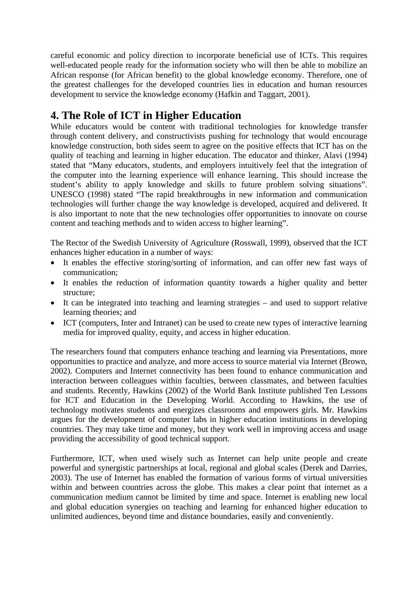careful economic and policy direction to incorporate beneficial use of ICTs. This requires well-educated people ready for the information society who will then be able to mobilize an African response (for African benefit) to the global knowledge economy. Therefore, one of the greatest challenges for the developed countries lies in education and human resources development to service the knowledge economy (Hafkin and Taggart, 2001).

# **4. The Role of ICT in Higher Education**

While educators would be content with traditional technologies for knowledge transfer through content delivery, and constructivists pushing for technology that would encourage knowledge construction, both sides seem to agree on the positive effects that ICT has on the quality of teaching and learning in higher education. The educator and thinker, Alavi (1994) stated that "Many educators, students, and employers intuitively feel that the integration of the computer into the learning experience will enhance learning. This should increase the student's ability to apply knowledge and skills to future problem solving situations". UNESCO (1998) stated "The rapid breakthroughs in new information and communication technologies will further change the way knowledge is developed, acquired and delivered. It is also important to note that the new technologies offer opportunities to innovate on course content and teaching methods and to widen access to higher learning".

The Rector of the Swedish University of Agriculture (Rosswall, 1999), observed that the ICT enhances higher education in a number of ways:

- It enables the effective storing/sorting of information, and can offer new fast ways of communication;
- It enables the reduction of information quantity towards a higher quality and better structure;
- It can be integrated into teaching and learning strategies and used to support relative learning theories; and
- ICT (computers, Inter and Intranet) can be used to create new types of interactive learning media for improved quality, equity, and access in higher education.

The researchers found that computers enhance teaching and learning via Presentations, more opportunities to practice and analyze, and more access to source material via Internet (Brown, 2002). Computers and Internet connectivity has been found to enhance communication and interaction between colleagues within faculties, between classmates, and between faculties and students. Recently, Hawkins (2002) of the World Bank Institute published Ten Lessons for ICT and Education in the Developing World. According to Hawkins, the use of technology motivates students and energizes classrooms and empowers girls. Mr. Hawkins argues for the development of computer labs in higher education institutions in developing countries. They may take time and money, but they work well in improving access and usage providing the accessibility of good technical support.

Furthermore, ICT, when used wisely such as Internet can help unite people and create powerful and synergistic partnerships at local, regional and global scales (Derek and Darries, 2003). The use of Internet has enabled the formation of various forms of virtual universities within and between countries across the globe. This makes a clear point that internet as a communication medium cannot be limited by time and space. Internet is enabling new local and global education synergies on teaching and learning for enhanced higher education to unlimited audiences, beyond time and distance boundaries, easily and conveniently.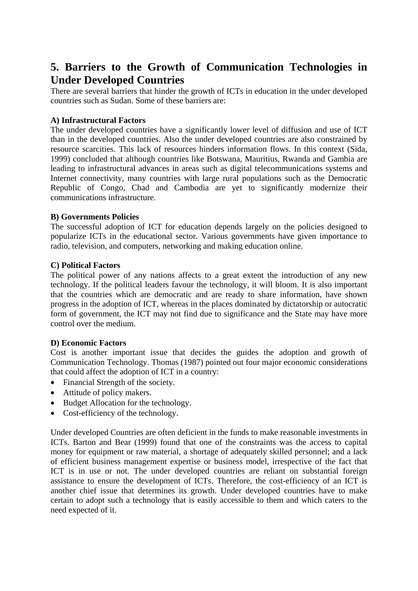# **5. Barriers to the Growth of Communication Technologies in Under Developed Countries**

There are several barriers that hinder the growth of ICTs in education in the under developed countries such as Sudan. Some of these barriers are:

#### **A) Infrastructural Factors**

The under developed countries have a significantly lower level of diffusion and use of ICT than in the developed countries. Also the under developed countries are also constrained by resource scarcities. This lack of resources hinders information flows. In this context (Sida, 1999) concluded that although countries like Botswana, Mauritius, Rwanda and Gambia are leading to infrastructural advances in areas such as digital telecommunications systems and Internet connectivity, many countries with large rural populations such as the Democratic Republic of Congo, Chad and Cambodia are yet to significantly modernize their communications infrastructure.

#### **B) Governments Policies**

The successful adoption of ICT for education depends largely on the policies designed to popularize ICTs in the educational sector. Various governments have given importance to radio, television, and computers, networking and making education online.

#### **C) Political Factors**

The political power of any nations affects to a great extent the introduction of any new technology. If the political leaders favour the technology, it will bloom. It is also important that the countries which are democratic and are ready to share information, have shown progress in the adoption of ICT, whereas in the places dominated by dictatorship or autocratic form of government, the ICT may not find due to significance and the State may have more control over the medium.

#### **D) Economic Factors**

Cost is another important issue that decides the guides the adoption and growth of Communication Technology. Thomas (1987) pointed out four major economic considerations that could affect the adoption of ICT in a country:

- Financial Strength of the society.
- Attitude of policy makers.
- Budget Allocation for the technology.
- Cost-efficiency of the technology.

Under developed Countries are often deficient in the funds to make reasonable investments in ICTs. Barton and Bear (1999) found that one of the constraints was the access to capital money for equipment or raw material, a shortage of adequately skilled personnel; and a lack of efficient business management expertise or business model, irrespective of the fact that ICT is in use or not. The under developed countries are reliant on substantial foreign assistance to ensure the development of ICTs. Therefore, the cost-efficiency of an ICT is another chief issue that determines its growth. Under developed countries have to make certain to adopt such a technology that is easily accessible to them and which caters to the need expected of it.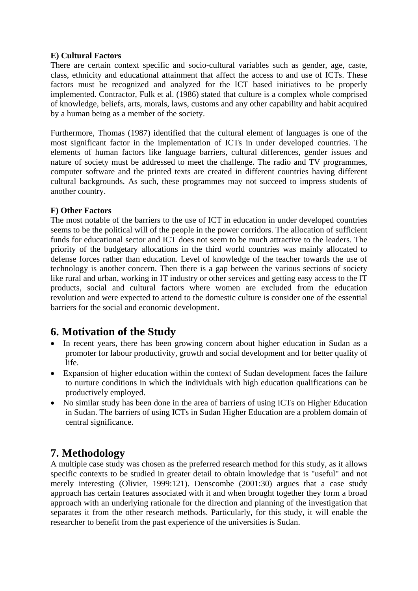#### **E) Cultural Factors**

There are certain context specific and socio-cultural variables such as gender, age, caste, class, ethnicity and educational attainment that affect the access to and use of ICTs. These factors must be recognized and analyzed for the ICT based initiatives to be properly implemented. Contractor, Fulk et al. (1986) stated that culture is a complex whole comprised of knowledge, beliefs, arts, morals, laws, customs and any other capability and habit acquired by a human being as a member of the society.

Furthermore, Thomas (1987) identified that the cultural element of languages is one of the most significant factor in the implementation of ICTs in under developed countries. The elements of human factors like language barriers, cultural differences, gender issues and nature of society must be addressed to meet the challenge. The radio and TV programmes, computer software and the printed texts are created in different countries having different cultural backgrounds. As such, these programmes may not succeed to impress students of another country.

#### **F) Other Factors**

The most notable of the barriers to the use of ICT in education in under developed countries seems to be the political will of the people in the power corridors. The allocation of sufficient funds for educational sector and ICT does not seem to be much attractive to the leaders. The priority of the budgetary allocations in the third world countries was mainly allocated to defense forces rather than education. Level of knowledge of the teacher towards the use of technology is another concern. Then there is a gap between the various sections of society like rural and urban, working in IT industry or other services and getting easy access to the IT products, social and cultural factors where women are excluded from the education revolution and were expected to attend to the domestic culture is consider one of the essential barriers for the social and economic development.

# **6. Motivation of the Study**

- In recent years, there has been growing concern about higher education in Sudan as a promoter for labour productivity, growth and social development and for better quality of life.
- Expansion of higher education within the context of Sudan development faces the failure to nurture conditions in which the individuals with high education qualifications can be productively employed.
- No similar study has been done in the area of barriers of using ICTs on Higher Education in Sudan. The barriers of using ICTs in Sudan Higher Education are a problem domain of central significance.

### **7. Methodology**

A multiple case study was chosen as the preferred research method for this study, as it allows specific contexts to be studied in greater detail to obtain knowledge that is "useful" and not merely interesting (Olivier, 1999:121). Denscombe (2001:30) argues that a case study approach has certain features associated with it and when brought together they form a broad approach with an underlying rationale for the direction and planning of the investigation that separates it from the other research methods. Particularly, for this study, it will enable the researcher to benefit from the past experience of the universities is Sudan.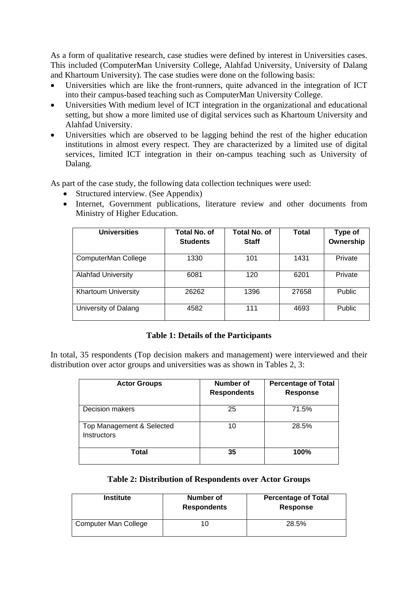As a form of qualitative research, case studies were defined by interest in Universities cases. This included (ComputerMan University College, Alahfad University, University of Dalang and Khartoum University). The case studies were done on the following basis:

- Universities which are like the front-runners, quite advanced in the integration of ICT into their campus-based teaching such as ComputerMan University College.
- Universities With medium level of ICT integration in the organizational and educational setting, but show a more limited use of digital services such as Khartoum University and Alahfad University.
- Universities which are observed to be lagging behind the rest of the higher education institutions in almost every respect. They are characterized by a limited use of digital services, limited ICT integration in their on-campus teaching such as University of Dalang.

As part of the case study, the following data collection techniques were used:

- Structured interview. (See Appendix)
- Internet, Government publications, literature review and other documents from Ministry of Higher Education.

| <b>Universities</b>        | Total No. of<br><b>Students</b> | Total No. of<br><b>Staff</b> | Total | Type of<br>Ownership |
|----------------------------|---------------------------------|------------------------------|-------|----------------------|
| ComputerMan College        | 1330                            | 101                          | 1431  | Private              |
| <b>Alahfad University</b>  | 6081                            | 120                          | 6201  | Private              |
| <b>Khartoum University</b> | 26262                           | 1396                         | 27658 | <b>Public</b>        |
| University of Dalang       | 4582                            | 111                          | 4693  | <b>Public</b>        |

#### **Table 1: Details of the Participants**

In total, 35 respondents (Top decision makers and management) were interviewed and their distribution over actor groups and universities was as shown in Tables 2, 3:

| <b>Actor Groups</b>                             | Number of<br><b>Respondents</b> | <b>Percentage of Total</b><br><b>Response</b> |
|-------------------------------------------------|---------------------------------|-----------------------------------------------|
| Decision makers                                 | 25                              | 71.5%                                         |
| Top Management & Selected<br><b>Instructors</b> | 10                              | 28.5%                                         |
| <b>Total</b>                                    | 35                              | 100%                                          |

#### **Table 2: Distribution of Respondents over Actor Groups**

| <b>Institute</b>            | Number of<br><b>Respondents</b> | <b>Percentage of Total</b><br><b>Response</b> |
|-----------------------------|---------------------------------|-----------------------------------------------|
| <b>Computer Man College</b> | 10                              | 28.5%                                         |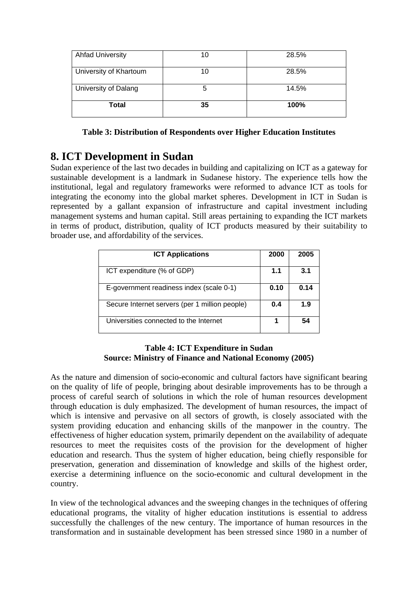| <b>Ahfad University</b> | 10 | 28.5% |
|-------------------------|----|-------|
| University of Khartoum  | 10 | 28.5% |
| University of Dalang    | 5  | 14.5% |
| <b>Total</b>            | 35 | 100%  |

|  |  | Table 3: Distribution of Respondents over Higher Education Institutes |
|--|--|-----------------------------------------------------------------------|
|--|--|-----------------------------------------------------------------------|

# **8. ICT Development in Sudan**

Sudan experience of the last two decades in building and capitalizing on ICT as a gateway for sustainable development is a landmark in Sudanese history. The experience tells how the institutional, legal and regulatory frameworks were reformed to advance ICT as tools for integrating the economy into the global market spheres. Development in ICT in Sudan is represented by a gallant expansion of infrastructure and capital investment including management systems and human capital. Still areas pertaining to expanding the ICT markets in terms of product, distribution, quality of ICT products measured by their suitability to broader use, and affordability of the services.

| <b>ICT Applications</b>                        | 2000 | 2005 |
|------------------------------------------------|------|------|
| ICT expenditure (% of GDP)                     | 1.1  | 3.1  |
| E-government readiness index (scale 0-1)       | 0.10 | 0.14 |
| Secure Internet servers (per 1 million people) | 0.4  | 1.9  |
| Universities connected to the Internet         |      | 54   |

#### **Table 4: ICT Expenditure in Sudan Source: Ministry of Finance and National Economy (2005)**

As the nature and dimension of socio-economic and cultural factors have significant bearing on the quality of life of people, bringing about desirable improvements has to be through a process of careful search of solutions in which the role of human resources development through education is duly emphasized. The development of human resources, the impact of which is intensive and pervasive on all sectors of growth, is closely associated with the system providing education and enhancing skills of the manpower in the country. The effectiveness of higher education system, primarily dependent on the availability of adequate resources to meet the requisites costs of the provision for the development of higher education and research. Thus the system of higher education, being chiefly responsible for preservation, generation and dissemination of knowledge and skills of the highest order, exercise a determining influence on the socio-economic and cultural development in the country.

In view of the technological advances and the sweeping changes in the techniques of offering educational programs, the vitality of higher education institutions is essential to address successfully the challenges of the new century. The importance of human resources in the transformation and in sustainable development has been stressed since 1980 in a number of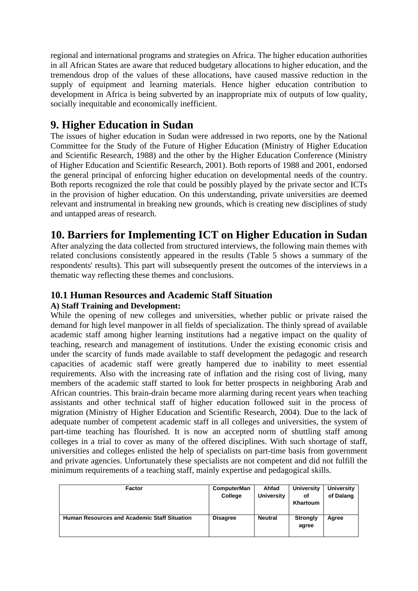regional and international programs and strategies on Africa. The higher education authorities in all African States are aware that reduced budgetary allocations to higher education, and the tremendous drop of the values of these allocations, have caused massive reduction in the supply of equipment and learning materials. Hence higher education contribution to development in Africa is being subverted by an inappropriate mix of outputs of low quality, socially inequitable and economically inefficient.

### **9. Higher Education in Sudan**

The issues of higher education in Sudan were addressed in two reports, one by the National Committee for the Study of the Future of Higher Education (Ministry of Higher Education and Scientific Research, 1988) and the other by the Higher Education Conference (Ministry of Higher Education and Scientific Research, 2001). Both reports of 1988 and 2001, endorsed the general principal of enforcing higher education on developmental needs of the country. Both reports recognized the role that could be possibly played by the private sector and ICTs in the provision of higher education. On this understanding, private universities are deemed relevant and instrumental in breaking new grounds, which is creating new disciplines of study and untapped areas of research.

# **10. Barriers for Implementing ICT on Higher Education in Sudan**

After analyzing the data collected from structured interviews, the following main themes with related conclusions consistently appeared in the results (Table 5 shows a summary of the respondents' results). This part will subsequently present the outcomes of the interviews in a thematic way reflecting these themes and conclusions.

### **10.1 Human Resources and Academic Staff Situation**

#### **A) Staff Training and Development:**

While the opening of new colleges and universities, whether public or private raised the demand for high level manpower in all fields of specialization. The thinly spread of available academic staff among higher learning institutions had a negative impact on the quality of teaching, research and management of institutions. Under the existing economic crisis and under the scarcity of funds made available to staff development the pedagogic and research capacities of academic staff were greatly hampered due to inability to meet essential requirements. Also with the increasing rate of inflation and the rising cost of living, many members of the academic staff started to look for better prospects in neighboring Arab and African countries. This brain-drain became more alarming during recent years when teaching assistants and other technical staff of higher education followed suit in the process of migration (Ministry of Higher Education and Scientific Research, 2004). Due to the lack of adequate number of competent academic staff in all colleges and universities, the system of part-time teaching has flourished. It is now an accepted norm of shuttling staff among colleges in a trial to cover as many of the offered disciplines. With such shortage of staff, universities and colleges enlisted the help of specialists on part-time basis from government and private agencies. Unfortunately these specialists are not competent and did not fulfill the minimum requirements of a teaching staff, mainly expertise and pedagogical skills.

| <b>Factor</b>                                       | <b>ComputerMan</b> | Ahfad             | <b>University</b> | <b>University</b> |
|-----------------------------------------------------|--------------------|-------------------|-------------------|-------------------|
|                                                     | College            | <b>University</b> | οf                | of Dalang         |
|                                                     |                    |                   | Khartoum          |                   |
|                                                     |                    |                   |                   |                   |
| <b>Human Resources and Academic Staff Situation</b> | <b>Disagree</b>    | <b>Neutral</b>    | Strongly          | Agree             |
|                                                     |                    |                   | agree             |                   |
|                                                     |                    |                   |                   |                   |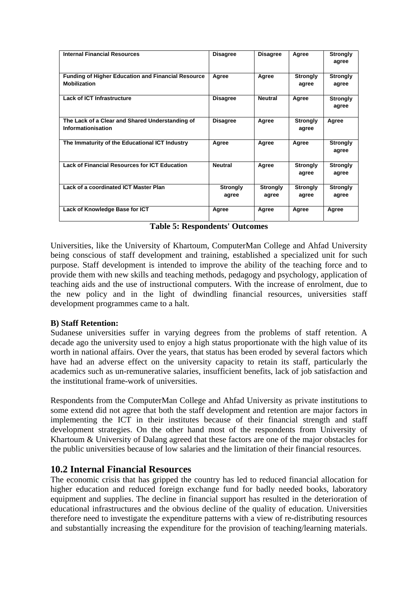| <b>Internal Financial Resources</b>                                              | <b>Disagree</b>          | <b>Disagree</b>          | Agree                    | <b>Strongly</b><br>agree |
|----------------------------------------------------------------------------------|--------------------------|--------------------------|--------------------------|--------------------------|
| <b>Funding of Higher Education and Financial Resource</b><br><b>Mobilization</b> | Agree                    | Agree                    | <b>Strongly</b><br>agree | <b>Strongly</b><br>agree |
| <b>Lack of ICT Infrastructure</b>                                                | <b>Disagree</b>          | <b>Neutral</b>           | Agree                    | <b>Strongly</b><br>agree |
| The Lack of a Clear and Shared Understanding of<br>Informationisation            | <b>Disagree</b>          | Agree                    | <b>Strongly</b><br>agree | Agree                    |
| The Immaturity of the Educational ICT Industry                                   | Agree                    | Agree                    | Agree                    | <b>Strongly</b><br>agree |
| <b>Lack of Financial Resources for ICT Education</b>                             | <b>Neutral</b>           | Agree                    | <b>Strongly</b><br>agree | <b>Strongly</b><br>agree |
| Lack of a coordinated ICT Master Plan                                            | <b>Strongly</b><br>agree | <b>Strongly</b><br>agree | <b>Strongly</b><br>agree | <b>Strongly</b><br>agree |
| Lack of Knowledge Base for ICT                                                   | Agree                    | Agree                    | Agree                    | Agree                    |

**Table 5: Respondents' Outcomes** 

Universities, like the University of Khartoum, ComputerMan College and Ahfad University being conscious of staff development and training, established a specialized unit for such purpose. Staff development is intended to improve the ability of the teaching force and to provide them with new skills and teaching methods, pedagogy and psychology, application of teaching aids and the use of instructional computers. With the increase of enrolment, due to the new policy and in the light of dwindling financial resources, universities staff development programmes came to a halt.

#### **B) Staff Retention:**

Sudanese universities suffer in varying degrees from the problems of staff retention. A decade ago the university used to enjoy a high status proportionate with the high value of its worth in national affairs. Over the years, that status has been eroded by several factors which have had an adverse effect on the university capacity to retain its staff, particularly the academics such as un-remunerative salaries, insufficient benefits, lack of job satisfaction and the institutional frame-work of universities.

Respondents from the ComputerMan College and Ahfad University as private institutions to some extend did not agree that both the staff development and retention are major factors in implementing the ICT in their institutes because of their financial strength and staff development strategies. On the other hand most of the respondents from University of Khartoum & University of Dalang agreed that these factors are one of the major obstacles for the public universities because of low salaries and the limitation of their financial resources.

#### **10.2 Internal Financial Resources**

The economic crisis that has gripped the country has led to reduced financial allocation for higher education and reduced foreign exchange fund for badly needed books, laboratory equipment and supplies. The decline in financial support has resulted in the deterioration of educational infrastructures and the obvious decline of the quality of education. Universities therefore need to investigate the expenditure patterns with a view of re-distributing resources and substantially increasing the expenditure for the provision of teaching/learning materials.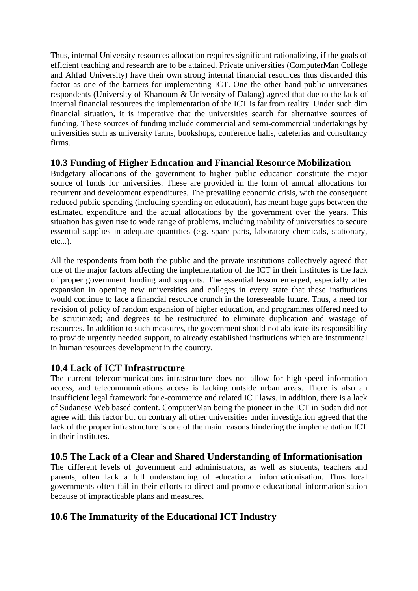Thus, internal University resources allocation requires significant rationalizing, if the goals of efficient teaching and research are to be attained. Private universities (ComputerMan College and Ahfad University) have their own strong internal financial resources thus discarded this factor as one of the barriers for implementing ICT. One the other hand public universities respondents (University of Khartoum & University of Dalang) agreed that due to the lack of internal financial resources the implementation of the ICT is far from reality. Under such dim financial situation, it is imperative that the universities search for alternative sources of funding. These sources of funding include commercial and semi-commercial undertakings by universities such as university farms, bookshops, conference halls, cafeterias and consultancy firms.

### **10.3 Funding of Higher Education and Financial Resource Mobilization**

Budgetary allocations of the government to higher public education constitute the major source of funds for universities. These are provided in the form of annual allocations for recurrent and development expenditures. The prevailing economic crisis, with the consequent reduced public spending (including spending on education), has meant huge gaps between the estimated expenditure and the actual allocations by the government over the years. This situation has given rise to wide range of problems, including inability of universities to secure essential supplies in adequate quantities (e.g. spare parts, laboratory chemicals, stationary, etc...).

All the respondents from both the public and the private institutions collectively agreed that one of the major factors affecting the implementation of the ICT in their institutes is the lack of proper government funding and supports. The essential lesson emerged, especially after expansion in opening new universities and colleges in every state that these institutions would continue to face a financial resource crunch in the foreseeable future. Thus, a need for revision of policy of random expansion of higher education, and programmes offered need to be scrutinized; and degrees to be restructured to eliminate duplication and wastage of resources. In addition to such measures, the government should not abdicate its responsibility to provide urgently needed support, to already established institutions which are instrumental in human resources development in the country.

### **10.4 Lack of ICT Infrastructure**

The current telecommunications infrastructure does not allow for high-speed information access, and telecommunications access is lacking outside urban areas. There is also an insufficient legal framework for e-commerce and related ICT laws. In addition, there is a lack of Sudanese Web based content. ComputerMan being the pioneer in the ICT in Sudan did not agree with this factor but on contrary all other universities under investigation agreed that the lack of the proper infrastructure is one of the main reasons hindering the implementation ICT in their institutes.

#### **10.5 The Lack of a Clear and Shared Understanding of Informationisation**

The different levels of government and administrators, as well as students, teachers and parents, often lack a full understanding of educational informationisation. Thus local governments often fail in their efforts to direct and promote educational informationisation because of impracticable plans and measures.

### **10.6 The Immaturity of the Educational ICT Industry**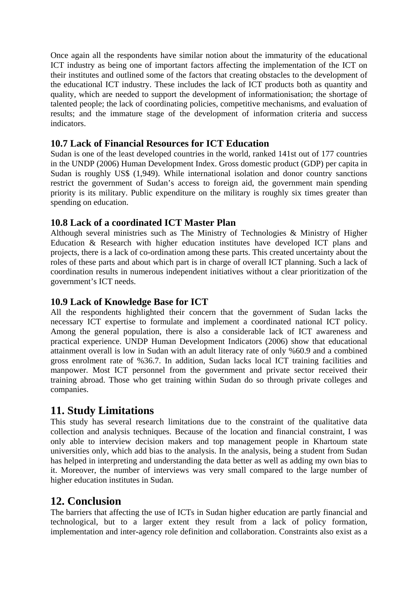Once again all the respondents have similar notion about the immaturity of the educational ICT industry as being one of important factors affecting the implementation of the ICT on their institutes and outlined some of the factors that creating obstacles to the development of the educational ICT industry. These includes the lack of ICT products both as quantity and quality, which are needed to support the development of informationisation; the shortage of talented people; the lack of coordinating policies, competitive mechanisms, and evaluation of results; and the immature stage of the development of information criteria and success indicators.

### **10.7 Lack of Financial Resources for ICT Education**

Sudan is one of the least developed countries in the world, ranked 141st out of 177 countries in the UNDP (2006) Human Development Index. Gross domestic product (GDP) per capita in Sudan is roughly US\$ (1,949). While international isolation and donor country sanctions restrict the government of Sudan's access to foreign aid, the government main spending priority is its military. Public expenditure on the military is roughly six times greater than spending on education.

### **10.8 Lack of a coordinated ICT Master Plan**

Although several ministries such as The Ministry of Technologies & Ministry of Higher Education & Research with higher education institutes have developed ICT plans and projects, there is a lack of co-ordination among these parts. This created uncertainty about the roles of these parts and about which part is in charge of overall ICT planning. Such a lack of coordination results in numerous independent initiatives without a clear prioritization of the government's ICT needs.

### **10.9 Lack of Knowledge Base for ICT**

All the respondents highlighted their concern that the government of Sudan lacks the necessary ICT expertise to formulate and implement a coordinated national ICT policy. Among the general population, there is also a considerable lack of ICT awareness and practical experience. UNDP Human Development Indicators (2006) show that educational attainment overall is low in Sudan with an adult literacy rate of only %60.9 and a combined gross enrolment rate of %36.7. In addition, Sudan lacks local ICT training facilities and manpower. Most ICT personnel from the government and private sector received their training abroad. Those who get training within Sudan do so through private colleges and companies.

### **11. Study Limitations**

This study has several research limitations due to the constraint of the qualitative data collection and analysis techniques. Because of the location and financial constraint, I was only able to interview decision makers and top management people in Khartoum state universities only, which add bias to the analysis. In the analysis, being a student from Sudan has helped in interpreting and understanding the data better as well as adding my own bias to it. Moreover, the number of interviews was very small compared to the large number of higher education institutes in Sudan.

### **12. Conclusion**

The barriers that affecting the use of ICTs in Sudan higher education are partly financial and technological, but to a larger extent they result from a lack of policy formation, implementation and inter-agency role definition and collaboration. Constraints also exist as a